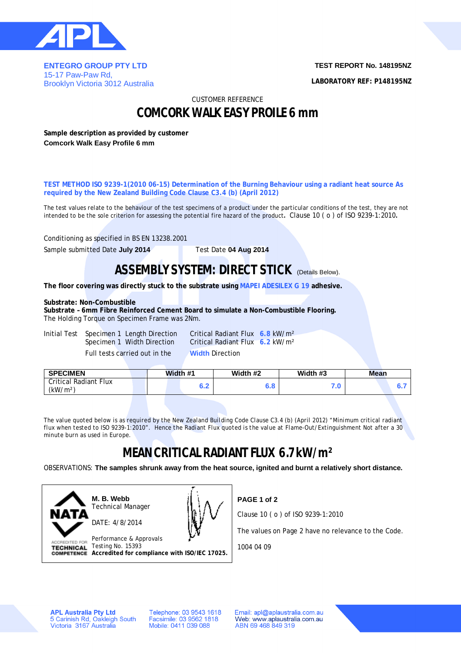

**ENTEGRO GROUP PTY LTD**  15-17 Paw-Paw Rd, Brooklyn Victoria 3012 Australia **TEST REPORT No. 148195NZ**

**LABORATORY REF: P148195NZ**

CUSTOMER REFERENCE

## **COMCORK WALK EASY PROILE 6 mm**

**Sample description as provided by customer Comcork Walk Easy Profile 6 mm**

**TEST METHOD ISO 9239-1(2010 06-15) Determination of the Burning Behaviour using a radiant heat source As required by the New Zealand Building Code Clause C3.4 (b) (April 2012)**

The test values relate to the behaviour of the test specimens of a product under the particular conditions of the test, they are not intended to be the sole criterion for assessing the potential fire hazard of the product**.** Clause 10 ( o ) of ISO 9239-1:2010**.**

Conditioning as specified in BS EN 13238.2001

Sample submitted Date **July 2014** Test Date **04 Aug 2014**

### **ASSEMBLY SYSTEM: DIRECT STICK (Details Below).**

**The floor covering was directly stuck to the substrate using MAPEI ADESILEX G 19 adhesive.**

#### **Substrate: Non-Combustible**

**Substrate – 6mm Fibre Reinforced Cement Board to simulate a Non-Combustible Flooring.** The Holding Torque on Specimen Frame was 2Nm.

Initial Test Specimen 1 Length Direction Critical Radiant Flux **6.8** kW/m² Full tests carried out in the **Width** Direction

Specimen 1 Width Direction Critical Radiant Flux **6.2** kW/m²

| <b>Critical Radiant Flux</b><br>(kW/m <sup>2</sup> ) | . .<br>U.Z | . п<br>o.o | 1 .u |  |
|------------------------------------------------------|------------|------------|------|--|

*The value quoted below is as required by the New Zealand Building Code Clause C3.4 (b) (April 2012) "Minimum critical radiant flux when tested to ISO 9239-1:2010". Hence the Radiant Flux quoted is the value at Flame-Out/Extinguishment Not after a 30 minute burn as used in Europe.*

# **MEAN CRITICAL RADIANT FLUX 6.7 kW/m²**

OBSERVATIONS: **The samples shrunk away from the heat source, ignited and burnt a relatively short distance.**



**M. B. Webb** Technical Manager DATE: 4/8/2014



Performance & Approvals TECHNICAL Testing No. 15393 **Accredited for compliance with ISO/IEC 17025.** **PAGE 1 of 2**

Clause 10 ( o ) of ISO 9239-1:2010

The values on Page 2 have no relevance to the Code.

1004 04 09

**APL Australia Pty Ltd** 5 Carinish Rd, Oakleigh South<br>Victoria 3167 Australia Telephone: 03 9543 1618 Facsimile: 03 9562 1818 Mobile: 0411 039 088

Email: apl@aplaustralia.com.au Web: www.aplaustralia.com.au ABN 69 468 849 319